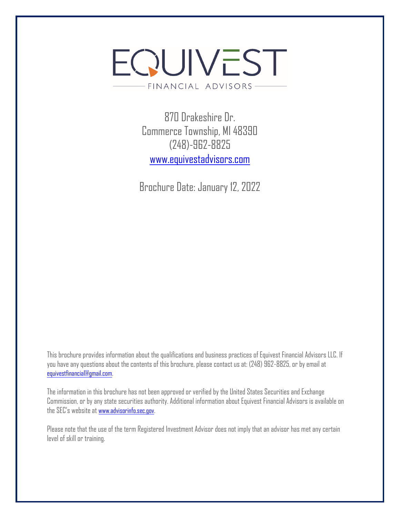# EQUIVEST - FINANCIAL ADVISORS-

870 Drakeshire Dr. Commerce Township, MI 48390 (248)-962-8825 [www.equivestadvisors.com](http://www.equivestadvisors.com/)

Brochure Date: January 12, 2022

This brochure provides information about the qualifications and business practices of Equivest Financial Advisors LLC. If you have any questions about the contents of this brochure, please contact us at: (248) 962-8825, or by email at [equivestfinancial@gmail.com](mailto:equivestfinancial@gmail.com).

The information in this brochure has not been approved or verified by the United States Securities and Exchange Commission, or by any state securities authority. Additional information about Equivest Financial Advisors is available on the SEC's website at [www.advisorinfo.sec.gov](http://www.advisorinfo.sec.gov/).

Please note that the use of the term Registered Investment Advisor does not imply that an advisor has met any certain level of skill or training.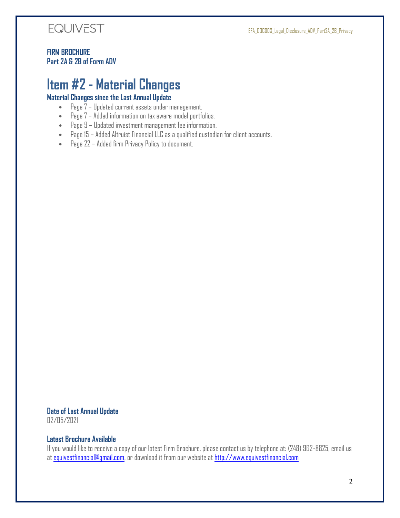

#### **FIRM BROCHURE Part 2A & 2B of Form ADV**

## <span id="page-1-0"></span>**Item #2 - Material Changes**

#### **Material Changes since the Last Annual Update**

- Page 7 Updated current assets under management.
- Page 7 Added information on tax aware model portfolios.
- Page 9 Updated investment management fee information.
- Page 15 Added Altruist Financial LLC as a qualified custodian for client accounts.
- Page 22 Added firm Privacy Policy to document.

#### **Date of Last Annual Update**

02/05/2021

#### **Latest Brochure Available**

If you would like to receive a copy of our latest Firm Brochure, please contact us by telephone at: (248) 962-8825, email us at [equivestfinancial@gmail.com,](mailto:equivestfinancial@gmail.com) or download it from our website at [http://www.equivestfinancial.com](http://www.equivestfinancial.com/)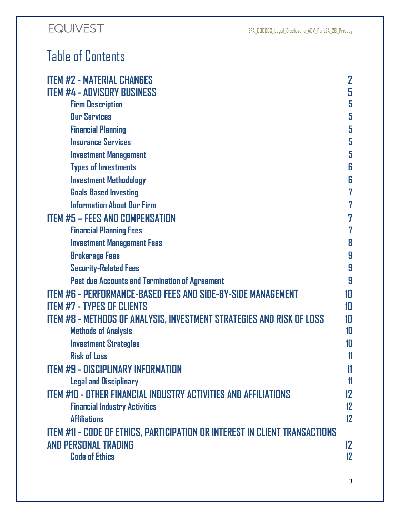# Table of Contents

| <b>ITEM #2 - MATERIAL CHANGES</b>                                           | $\mathbf 2$       |
|-----------------------------------------------------------------------------|-------------------|
| <b>ITEM #4 - ADVISORY BUSINESS</b>                                          | 5                 |
| <b>Firm Description</b>                                                     | 5                 |
| <b>Our Services</b>                                                         | 5                 |
| <b>Financial Planning</b>                                                   | 5                 |
| <b>Insurance Services</b>                                                   | 5                 |
| <b>Investment Management</b>                                                | 5                 |
| <b>Types of Investments</b>                                                 | 6                 |
| <b>Investment Methodology</b>                                               | 6                 |
| <b>Goals Based Investing</b>                                                | 7                 |
| <b>Information About Our Firm</b>                                           | 7                 |
| <b>ITEM #5 - FEES AND COMPENSATION</b>                                      | 7                 |
| <b>Financial Planning Fees</b>                                              | 7                 |
| <b>Investment Management Fees</b>                                           | 8                 |
| <b>Brokerage Fees</b>                                                       | 9                 |
| <b>Security-Related Fees</b>                                                | 9                 |
| Past due Accounts and Termination of Agreement                              | 9                 |
| <b>ITEM #6 - PERFORMANCE-BASED FEES AND SIDE-BY-SIDE MANAGEMENT</b>         | 10                |
| <b>ITEM #7 - TYPES OF CLIENTS</b>                                           | 10                |
| ITEM #8 - METHODS OF ANALYSIS, INVESTMENT STRATEGIES AND RISK OF LOSS       | 10                |
| <b>Methods of Analysis</b>                                                  | 10                |
| <b>Investment Strategies</b>                                                | 10                |
| <b>Risk of Loss</b>                                                         | 11                |
| <b>ITEM #9 - DISCIPLINARY INFORMATION</b>                                   | 11                |
| <b>Legal and Disciplinary</b>                                               | $\mathbf{11}$     |
| <b>ITEM #10 - OTHER FINANCIAL INDUSTRY ACTIVITIES AND AFFILIATIONS</b>      | 12                |
| <b>Financial Industry Activities</b>                                        | 12                |
| <b>Affiliations</b>                                                         | $12 \overline{ }$ |
| ITEM #11 - CODE OF ETHICS, PARTICIPATION OR INTEREST IN CLIENT TRANSACTIONS |                   |
| <b>AND PERSONAL TRADING</b>                                                 | 12                |
| <b>Code of Ethics</b>                                                       | 12                |
|                                                                             |                   |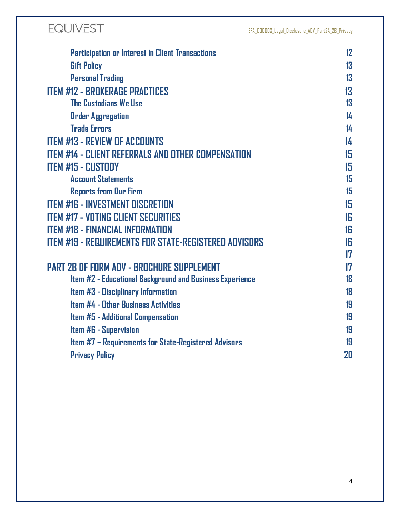

| <b>Gift Policy</b><br><b>Personal Trading</b><br><b>ITEM #12 - BROKERAGE PRACTICES</b><br><b>The Custodians We Use</b><br><b>Order Aggregation</b><br><b>Trade Errors</b><br><b>ITEM #13 - REVIEW OF ACCOUNTS</b><br><b>ITEM #14 - CLIENT REFERRALS AND OTHER COMPENSATION</b><br><b>ITEM #15 - CUSTODY</b><br><b>Account Statements</b><br><b>Reports from Our Firm</b><br><b>ITEM #16 - INVESTMENT DISCRETION</b><br><b>ITEM #17 - VOTING CLIENT SECURITIES</b><br><b>ITEM #18 - FINANCIAL INFORMATION</b><br><u>ITEM #19 - REQUIREMENTS FOR STATE-REGISTERED ADVISORS</u><br><b>PART 2B OF FORM ADV - BROCHURE SUPPLEMENT</b><br>Item #2 - Educational Background and Business Experience<br>Item #3 - Disciplinary Information<br><b>Item #4 - Other Business Activities</b><br>Item #5 - Additional Compensation<br><b>Item #6 - Supervision</b><br>Item #7 - Requirements for State-Registered Advisors<br><b>Privacy Policy</b> | <b>Participation or Interest in Client Transactions</b> | 12 |
|----------------------------------------------------------------------------------------------------------------------------------------------------------------------------------------------------------------------------------------------------------------------------------------------------------------------------------------------------------------------------------------------------------------------------------------------------------------------------------------------------------------------------------------------------------------------------------------------------------------------------------------------------------------------------------------------------------------------------------------------------------------------------------------------------------------------------------------------------------------------------------------------------------------------------------------|---------------------------------------------------------|----|
|                                                                                                                                                                                                                                                                                                                                                                                                                                                                                                                                                                                                                                                                                                                                                                                                                                                                                                                                        |                                                         | 13 |
|                                                                                                                                                                                                                                                                                                                                                                                                                                                                                                                                                                                                                                                                                                                                                                                                                                                                                                                                        |                                                         | 13 |
|                                                                                                                                                                                                                                                                                                                                                                                                                                                                                                                                                                                                                                                                                                                                                                                                                                                                                                                                        |                                                         | 13 |
|                                                                                                                                                                                                                                                                                                                                                                                                                                                                                                                                                                                                                                                                                                                                                                                                                                                                                                                                        |                                                         | 13 |
|                                                                                                                                                                                                                                                                                                                                                                                                                                                                                                                                                                                                                                                                                                                                                                                                                                                                                                                                        |                                                         | 14 |
|                                                                                                                                                                                                                                                                                                                                                                                                                                                                                                                                                                                                                                                                                                                                                                                                                                                                                                                                        |                                                         | 14 |
|                                                                                                                                                                                                                                                                                                                                                                                                                                                                                                                                                                                                                                                                                                                                                                                                                                                                                                                                        |                                                         | 14 |
|                                                                                                                                                                                                                                                                                                                                                                                                                                                                                                                                                                                                                                                                                                                                                                                                                                                                                                                                        |                                                         | 15 |
|                                                                                                                                                                                                                                                                                                                                                                                                                                                                                                                                                                                                                                                                                                                                                                                                                                                                                                                                        |                                                         | 15 |
|                                                                                                                                                                                                                                                                                                                                                                                                                                                                                                                                                                                                                                                                                                                                                                                                                                                                                                                                        |                                                         | 15 |
|                                                                                                                                                                                                                                                                                                                                                                                                                                                                                                                                                                                                                                                                                                                                                                                                                                                                                                                                        |                                                         | 15 |
|                                                                                                                                                                                                                                                                                                                                                                                                                                                                                                                                                                                                                                                                                                                                                                                                                                                                                                                                        |                                                         | 15 |
|                                                                                                                                                                                                                                                                                                                                                                                                                                                                                                                                                                                                                                                                                                                                                                                                                                                                                                                                        |                                                         | 16 |
|                                                                                                                                                                                                                                                                                                                                                                                                                                                                                                                                                                                                                                                                                                                                                                                                                                                                                                                                        |                                                         | 16 |
|                                                                                                                                                                                                                                                                                                                                                                                                                                                                                                                                                                                                                                                                                                                                                                                                                                                                                                                                        |                                                         | 16 |
|                                                                                                                                                                                                                                                                                                                                                                                                                                                                                                                                                                                                                                                                                                                                                                                                                                                                                                                                        |                                                         | 17 |
|                                                                                                                                                                                                                                                                                                                                                                                                                                                                                                                                                                                                                                                                                                                                                                                                                                                                                                                                        |                                                         | 17 |
|                                                                                                                                                                                                                                                                                                                                                                                                                                                                                                                                                                                                                                                                                                                                                                                                                                                                                                                                        |                                                         | 18 |
|                                                                                                                                                                                                                                                                                                                                                                                                                                                                                                                                                                                                                                                                                                                                                                                                                                                                                                                                        |                                                         | 18 |
|                                                                                                                                                                                                                                                                                                                                                                                                                                                                                                                                                                                                                                                                                                                                                                                                                                                                                                                                        |                                                         | 19 |
|                                                                                                                                                                                                                                                                                                                                                                                                                                                                                                                                                                                                                                                                                                                                                                                                                                                                                                                                        |                                                         | 19 |
|                                                                                                                                                                                                                                                                                                                                                                                                                                                                                                                                                                                                                                                                                                                                                                                                                                                                                                                                        |                                                         | 19 |
|                                                                                                                                                                                                                                                                                                                                                                                                                                                                                                                                                                                                                                                                                                                                                                                                                                                                                                                                        |                                                         | 19 |
|                                                                                                                                                                                                                                                                                                                                                                                                                                                                                                                                                                                                                                                                                                                                                                                                                                                                                                                                        |                                                         | 20 |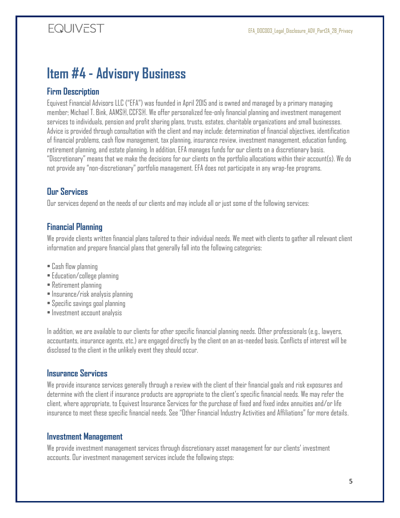# <span id="page-4-0"></span>**Item #4 - Advisory Business**

#### <span id="page-4-1"></span>**Firm Description**

Equivest Financial Advisors LLC ("EFA") was founded in April 2015 and is owned and managed by a primary managing member; Michael T. Bink, AAMS®,CCFS®. We offer personalized fee-only financial planning and investment management services to individuals, pension and profit sharing plans, trusts, estates, charitable organizations and small businesses. Advice is provided through consultation with the client and may include: determination of financial objectives, identification of financial problems, cash flow management, tax planning, insurance review, investment management, education funding, retirement planning, and estate planning. In addition, EFA manages funds for our clients on a discretionary basis. "Discretionary" means that we make the decisions for our clients on the portfolio allocations within their account(s). We do not provide any "non-discretionary" portfolio management. EFA does not participate in any wrap-fee programs.

#### <span id="page-4-2"></span>**Our Services**

Our services depend on the needs of our clients and may include all or just some of the following services:

#### <span id="page-4-3"></span>**Financial Planning**

We provide clients written financial plans tailored to their individual needs. We meet with clients to gather all relevant client information and prepare financial plans that generally fall into the following categories:

- Cash flow planning
- Education/college planning
- Retirement planning
- Insurance/risk analysis planning
- Specific savings goal planning
- Investment account analysis

In addition, we are available to our clients for other specific financial planning needs. Other professionals (e.g., lawyers, accountants, insurance agents, etc.) are engaged directly by the client on an as-needed basis. Conflicts of interest will be disclosed to the client in the unlikely event they should occur.

#### <span id="page-4-4"></span>**Insurance Services**

We provide insurance services generally through a review with the client of their financial goals and risk exposures and determine with the client if insurance products are appropriate to the client's specific financial needs. We may refer the client, where appropriate, to Equivest Insurance Services for the purchase of fixed and fixed index annuities and/or life insurance to meet these specific financial needs. See "Other Financial Industry Activities and Affiliations" for more details.

#### <span id="page-4-5"></span>**Investment Management**

We provide investment management services through discretionary asset management for our clients' investment accounts. Our investment management services include the following steps: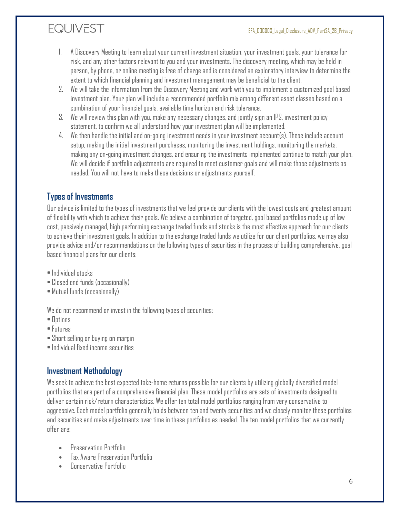- 1. A Discovery Meeting to learn about your current investment situation, your investment goals, your tolerance for risk, and any other factors relevant to you and your investments. The discovery meeting, which may be held in person, by phone, or online meeting is free of charge and is considered an exploratory interview to determine the extent to which financial planning and investment management may be beneficial to the client.
- 2. We will take the information from the Discovery Meeting and work with you to implement a customized goal based investment plan. Your plan will include a recommended portfolio mix among different asset classes based on a combination of your financial goals, available time horizon and risk tolerance.
- 3. We will review this plan with you, make any necessary changes, and jointly sign an IPS, investment policy statement, to confirm we all understand how your investment plan will be implemented.
- 4. We then handle the initial and on-going investment needs in your investment account(s). These include account setup, making the initial investment purchases, monitoring the investment holdings, monitoring the markets, making any on-going investment changes, and ensuring the investments implemented continue to match your plan. We will decide if portfolio adjustments are required to meet customer goals and will make those adjustments as needed. You will not have to make these decisions or adjustments yourself.

### <span id="page-5-0"></span>**Types of Investments**

Our advice is limited to the types of investments that we feel provide our clients with the lowest costs and greatest amount of flexibility with which to achieve their goals. We believe a combination of targeted, goal based portfolios made up of low cost, passively managed, high performing exchange traded funds and stocks is the most effective approach for our clients to achieve their investment goals. In addition to the exchange traded funds we utilize for our client portfolios, we may also provide advice and/or recommendations on the following types of securities in the process of building comprehensive, goal based financial plans for our clients:

- Individual stocks
- Closed end funds (occasionally)
- Mutual funds (occasionally)

We do not recommend or invest in the following types of securities:

- Options
- Futures
- Short selling or buying on margin
- Individual fixed income securities

#### <span id="page-5-1"></span>**Investment Methodology**

We seek to achieve the best expected take-home returns possible for our clients by utilizing globally diversified model portfolios that are part of a comprehensive financial plan. These model portfolios are sets of investments designed to deliver certain risk/return characteristics. We offer ten total model portfolios ranging from very conservative to aggressive. Each model portfolio generally holds between ten and twenty securities and we closely monitor these portfolios and securities and make adjustments over time in these portfolios as needed. The ten model portfolios that we currently offer are:

- Preservation Portfolio
- Tax Aware Preservation Portfolio
- Conservative Portfolio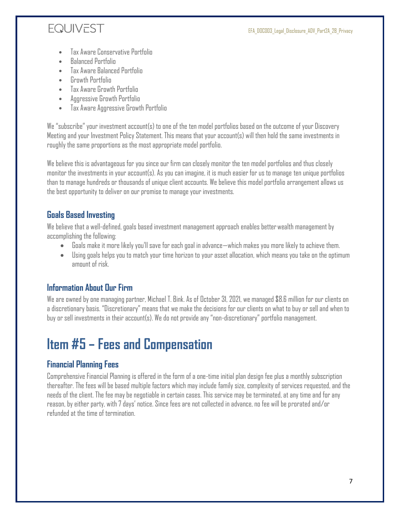- Tax Aware Conservative Portfolio
- Balanced Portfolio
- Tax Aware Balanced Portfolio
- Growth Portfolio
- Tax Aware Growth Portfolio
- Aggressive Growth Portfolio
- Tax Aware Aggressive Growth Portfolio

We "subscribe" your investment account(s) to one of the ten model portfolios based on the outcome of your Discovery Meeting and your Investment Policy Statement. This means that your account(s) will then hold the same investments in roughly the same proportions as the most appropriate model portfolio.

We believe this is advantageous for you since our firm can closely monitor the ten model portfolios and thus closely monitor the investments in your account(s). As you can imagine, it is much easier for us to manage ten unique portfolios than to manage hundreds or thousands of unique client accounts. We believe this model portfolio arrangement allows us the best opportunity to deliver on our promise to manage your investments.

#### <span id="page-6-0"></span>**Goals Based Investing**

We believe that a well-defined, goals based investment management approach enables betterwealth management by accomplishing the following:

- Goals make it more likely you'll save for each goal in advance—which makes you more likely to achieve them.
- Using goals helps you to match your time horizon to your asset allocation, which means you take on the optimum amount of risk.

### <span id="page-6-1"></span>**Information About Our Firm**

We are owned by one managing partner, Michael T. Bink. As of October 31, 2021, we managed \$8.6 million for our clients on a discretionary basis. "Discretionary" means that we make the decisions for our clients on what to buy or sell and when to buy or sell investments in their account(s). We do not provide any "non-discretionary" portfolio management.

# <span id="page-6-2"></span>**Item #5 – Fees and Compensation**

### <span id="page-6-3"></span>**Financial Planning Fees**

Comprehensive Financial Planning is offered in the form of a one-time initial plan design fee plus a monthly subscription thereafter. The fees will be based multiple factors which may include family size, complexity of services requested, and the needs of the client. The fee may be negotiable in certain cases. This service may be terminated, at any time and for any reason, by either party, with 7 days' notice. Since fees are not collected in advance, no fee will be prorated and/or refunded at the time of termination.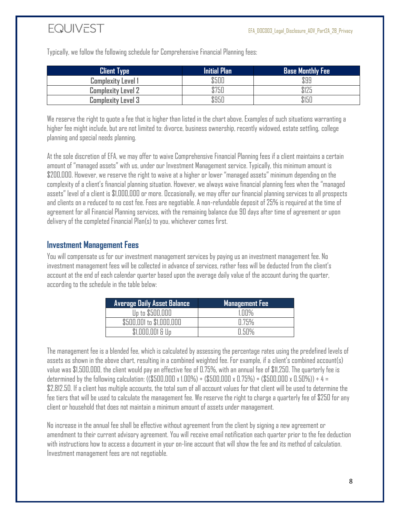Typically, we follow the following schedule for Comprehensive Financial Planning fees:

| <b>Client Type</b>        | <b>Initial Plan</b> | <b>Base Monthly Fee</b> |
|---------------------------|---------------------|-------------------------|
| <b>Complexity Level 1</b> | \$500               | \$99                    |
| <b>Complexity Level 2</b> | \$750               | \$125                   |
| <b>Complexity Level 3</b> | \$950               | \$150                   |

We reserve the right to quote a fee that is higher than listed in the chart above. Examples of such situations warranting a higher fee might include, but are not limited to: divorce, business ownership, recently widowed, estate settling, college planning and special needs planning.

At the sole discretion of EFA, we may offer to waive Comprehensive Financial Planning fees if a client maintains a certain amount of "managed assets" with us, under our Investment Management service. Typically, this minimum amount is \$200,000. However, we reserve the right to waive at a higher or lower "managed assets" minimum depending on the complexity of a client's financial planning situation. However, we always waive financial planning fees when the "managed assets" level of a client is \$1,000,000 or more. Occasionally, we may offer our financial planning services to all prospects and clients on a reduced to no cost fee. Fees are negotiable. A non-refundable deposit of 25% is required at the time of agreement for all Financial Planning services, with the remaining balance due 90 days after time of agreement or upon delivery of the completed Financial Plan(s) to you, whichever comes first.

#### <span id="page-7-0"></span>**Investment Management Fees**

You will compensate us for our investment management services by paying us an investment management fee. No investment management fees will be collected in advance of services, rather fees will be deducted from the client's account at the end of each calendar quarter based upon the average daily value of the account during the quarter, according to the schedule in the table below:

| Average Daily Asset Balance <b>'</b> | <b>Management Fee</b> |
|--------------------------------------|-----------------------|
| Up to \$500,000                      | 1.NN%                 |
| \$500,001 to \$1,000,000             | 0.75%                 |
| \$1,000,001 & Up                     | $\Pi$ 50%             |

The management fee is a blended fee, which is calculated by assessing the percentage rates using the predefined levels of assets as shown in the above chart, resulting in a combined weighted fee. For example, if a client's combined account(s) value was \$1,500,000, the client would pay an effective fee of 0.75%, with an annual fee of \$11,250. The quarterly fee is determined by the following calculation:  $((\$500,000 \times 1.00\%) + (\$500,000 \times 0.75\%) + (\$500,000 \times 0.50\%) \div 4 =$ \$2,812.50. If a client has multiple accounts, the total sum of all account values for that client will be used to determine the fee tiers that will be used to calculate the management fee. We reserve the right to charge a quarterly fee of \$250 for any client or household that does not maintain a minimum amount of assets under management.

No increase in the annual fee shall be effective without agreement from the client by signing a new agreement or amendment to their current advisory agreement. You will receive email notification each quarter prior to the fee deduction with instructions how to access a document in your on-line account that will show the fee and its method of calculation. Investment management fees are not negotiable.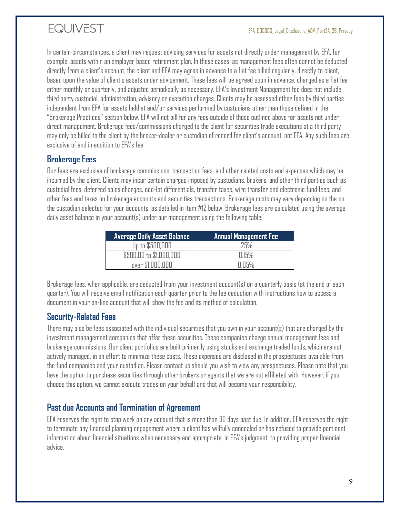In certain circumstances, a client may request advising services for assets not directly under management by EFA, for example, assets within an employer based retirement plan. In these cases, as management fees often cannot be deducted directly from a client's account, the client and EFA may agree in advance to a flat fee billed regularly, directly to client, based upon the value of client's assets under advisement. These fees will be agreed upon in advance, charged as a flat fee either monthly or quarterly, and adjusted periodically as necessary. EFA's Investment Management fee does not include third party custodial, administration, advisory or execution charges. Clients may be assessed other fees by third parties independent from EFA for assets held at and/or services performed by custodians other than those defined in the "Brokerage Practices" section below. EFA will not bill for any fees outside of those outlined above for assets not under direct management. Brokerage fees/commissions charged to the client for securities trade executions at a third party may only be billed to the client by the broker-dealer or custodian of record for client's account, not EFA. Any such fees are exclusive of and in addition to EFA's fee.

#### <span id="page-8-0"></span>**Brokerage Fees**

Our fees are exclusive of brokerage commissions, transaction fees, and other related costs and expenses which may be incurred by the client. Clients may incur certain charges imposed by custodians, brokers, and other third parties such as custodial fees, deferred sales charges, odd‐lot differentials, transfer taxes, wire transfer and electronic fund fees, and other fees and taxes on brokerage accounts and securities transactions. Brokerage costs may vary depending on the on the custodian selected for your accounts, as detailed in item #12 below. Brokerage fees are calculated using the average daily asset balance in your account(s) under our management using the following table:

| <b>Average Daily Asset Balance</b> | <b>Annual Management Fee</b> |
|------------------------------------|------------------------------|
| Up to \$500,000                    | 25%                          |
| \$500,00 to \$1,000,000            | $\Box$ 15%                   |
| over \$1,000,000                   | П П5%                        |

Brokerage fees, when applicable, are deducted from your investment account(s) on a quarterly basis (at the end of each quarter). You will receive email notification each quarter prior to the fee deduction with instructions how to access a document in your on-line account that will show the fee and its method of calculation.

### <span id="page-8-1"></span>**Security-Related Fees**

There may also be fees associated with the individual securities that you own in your account(s) that are charged by the investment management companies that offer these securities. These companies charge annual management fees and brokerage commissions. Our client portfolios are built primarily using stocks and exchange traded funds, which are not actively managed, in an effort to minimize these costs. These expenses are disclosed in the prospectuses available from the fund companies and your custodian. Please contact us should you wish to view any prospectuses. Please note that you have the option to purchase securities through other brokers or agents that we are not affiliated with. However, if you choose this option, we cannot execute trades on your behalf and that will become your responsibility.

### <span id="page-8-2"></span>**Past due Accounts and Termination of Agreement**

EFA reserves the right to stop work on any account that is more than 30 days past due. In addition, EFA reserves the right to terminate any financial planning engagement where a client has willfully concealed or has refused to provide pertinent information about financial situations when necessary and appropriate, in EFA's judgment, to providing proper financial advice.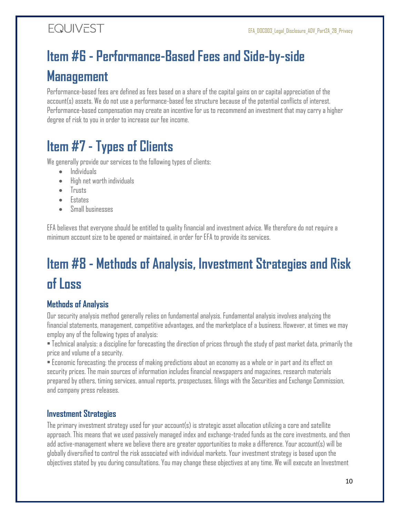# <span id="page-9-0"></span>**Item #6 - Performance-Based Fees and Side-by-side Management**

Performance-based fees are defined as fees based on a share of the capital gains on or capital appreciation of the account(s) assets. We do not use a performance-based fee structure because of the potential conflicts of interest. Performance-based compensation may create an incentive for us to recommend an investment that may carry a higher degree of risk to you in order to increase our fee income.

# <span id="page-9-1"></span>**Item #7 - Types of Clients**

We generally provide our services to the following types of clients:

- Individuals
- High net worth individuals
- Trusts
- Estates
- Small businesses

EFA believes that everyone should be entitled to quality financial and investment advice. We therefore do not require a minimum account size to be opened or maintained, in order for EFA to provide its services.

# <span id="page-9-2"></span>**Item #8 - Methods of Analysis, Investment Strategies and Risk of Loss**

### <span id="page-9-3"></span>**Methods of Analysis**

Our security analysis method generally relies on fundamental analysis. Fundamental analysis involves analyzing the financial statements, management, competitive advantages, and the marketplace of a business. However, at times we may employ any of the following types of analysis:

• Technical analysis: a discipline for forecasting the direction of prices through the study of past market data, primarily the price and volume of a security.

• Economic forecasting: the process of making predictions about an economy as a whole or in part and its effect on security prices. The main sources of information includes financial newspapers and magazines, research materials prepared by others, timing services, annual reports, prospectuses, filings with the Securities and Exchange Commission, and company press releases.

### <span id="page-9-4"></span>**Investment Strategies**

The primary investment strategy used for your account(s) is strategic asset allocation utilizing a core and satellite approach. This means that we used passively managed index and exchange-traded funds as the core investments, and then add active-management where we believe there are greater opportunities to make a difference. Your account(s) will be globally diversified to control the risk associated with individual markets. Your investment strategy is based upon the objectives stated by you during consultations. You may change these objectives at any time. We will execute an Investment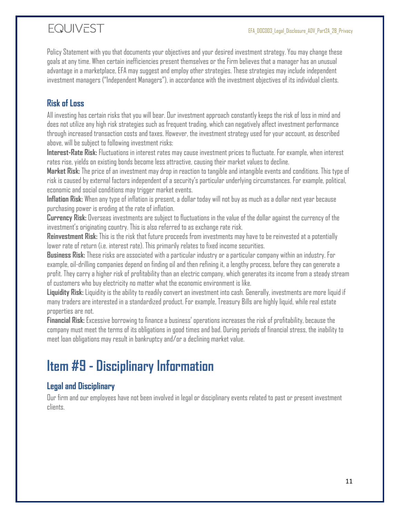Policy Statement with you that documents your objectives and your desired investment strategy. You may change these goals at any time. When certain inefficiencies present themselves or the Firm believes that a manager has an unusual advantage in a marketplace, EFA may suggest and employ other strategies. These strategies may include independent investment managers ("Independent Managers"), in accordance with the investment objectives of its individual clients.

### <span id="page-10-0"></span>**Risk of Loss**

All investing has certain risks that you will bear. Our investment approach constantly keeps the risk of loss in mind and does not utilize any high risk strategies such as frequent trading, which can negatively affect investment performance through increased transaction costs and taxes. However, the investment strategy used for your account, as described above, will be subject to following investment risks:

**Interest-Rate Risk:** Fluctuations in interest rates may cause investment prices to fluctuate. For example, when interest rates rise, yields on existing bonds become less attractive, causing their market values to decline.

**Market Risk:** The price of an investment may drop in reaction to tangible and intangible events and conditions. This type of risk is caused by external factors independent of a security's particular underlying circumstances. For example, political, economic and social conditions may trigger market events.

**Inflation Risk:** When any type of inflation is present, a dollar today will not buy as much as a dollar next year because purchasing power is eroding at the rate of inflation.

**Currency Risk:** Overseas investments are subject to fluctuations in the value of the dollar against the currency of the investment's originating country. This is also referred to as exchange rate risk.

**Reinvestment Risk:** This is the risk that future proceeds from investments may have to be reinvested at a potentially lower rate of return (i.e. interest rate). This primarily relates to fixed income securities.

**Business Risk:** These risks are associated with a particular industry or a particular company within an industry. For example, oil-drilling companies depend on finding oil and then refining it, a lengthy process, before they can generate a profit. They carry a higher risk of profitability than an electric company, which generates its income from a steady stream of customers who buy electricity no matter what the economic environment is like.

**Liquidity Risk:** Liquidity is the ability to readily convert an investment into cash. Generally, investments are more liquid if many traders are interested in a standardized product. For example, Treasury Bills are highly liquid, while real estate properties are not.

**Financial Risk:** Excessive borrowing to finance a business' operations increases the risk of profitability, because the company must meet the terms of its obligations in good times and bad. During periods of financial stress, the inability to meet loan obligations may result in bankruptcy and/or a declining market value.

# <span id="page-10-1"></span>**Item #9 - Disciplinary Information**

### <span id="page-10-2"></span>**Legal and Disciplinary**

Our firm and our employees have not been involved in legal or disciplinary events related to past or present investment clients.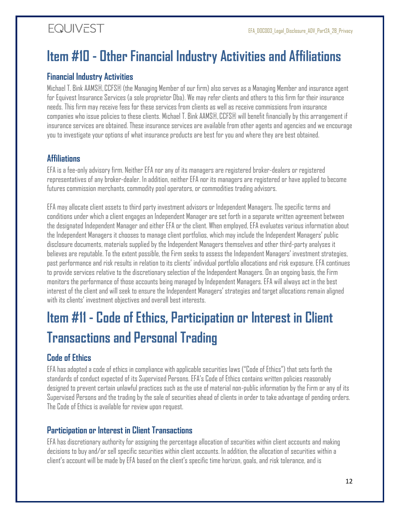# <span id="page-11-0"></span>**Item #10 - Other Financial Industry Activities and Affiliations**

#### <span id="page-11-1"></span>**Financial Industry Activities**

Michael T. Bink AAMS®,CCFS® (the Managing Member of our firm) also serves as a Managing Member and insurance agent for Equivest Insurance Services (a sole proprietor Dba). We may refer clients and others to this firm for their insurance needs. This firm may receive fees for these services from clients as well as receive commissions from insurance companies who issue policies to these clients. Michael T. Bink AAMS®, CCFS® will benefit financially by this arrangement if insurance services are obtained. These insurance services are available from other agents and agencies and we encourage you to investigate your options of what insurance products are best for you and where they are best obtained.

#### <span id="page-11-2"></span>**Affiliations**

EFA is a fee-only advisory firm. Neither EFA nor any of its managers are registered broker-dealers or registered representatives of any broker-dealer. In addition, neither EFA nor its managers are registered or have applied to become futures commission merchants, commodity pool operators, or commodities trading advisors.

EFA may allocate client assets to third party investment advisors or Independent Managers. The specific terms and conditions under which a client engages an Independent Manager are set forth in a separate written agreement between the designated Independent Manager and either EFA or the client. When employed, EFA evaluates various information about the Independent Managers it chooses to manage client portfolios, which may include the Independent Managers' public disclosure documents, materials supplied by the Independent Managers themselves and other third-party analyses it believes are reputable. To the extent possible, the Firm seeks to assess the Independent Managers' investment strategies, past performance and risk results in relation to its clients' individual portfolio allocations and risk exposure. EFA continues to provide services relative to the discretionary selection of the Independent Managers. On an ongoing basis, the Firm monitors the performance of those accounts being managed by Independent Managers. EFA will always act in the best interest of the client and will seek to ensure the Independent Managers' strategies and target allocations remain aligned with its clients' investment objectives and overall best interests.

# <span id="page-11-3"></span>**Item #11 - Code of Ethics, Participation or Interest in Client Transactions and Personal Trading**

### <span id="page-11-4"></span>**Code of Ethics**

EFA has adopted a code of ethics in compliance with applicable securities laws ("Code of Ethics") that sets forth the standards of conduct expected of its Supervised Persons. EFA's Code of Ethics contains written policies reasonably designed to prevent certain unlawful practices such as the use of material non-public information by the Firm or any of its Supervised Persons and the trading by the sale of securities ahead of clients in order to take advantage of pending orders. The Code of Ethics is available for review upon request.

#### <span id="page-11-5"></span>**Participation or Interest in Client Transactions**

EFA has discretionary authority for assigning the percentage allocation of securities within client accounts and making decisions to buy and/or sell specific securities within client accounts. In addition, the allocation of securities within a client's account will be made by EFA based on the client's specific time horizon, goals, and risk tolerance, and is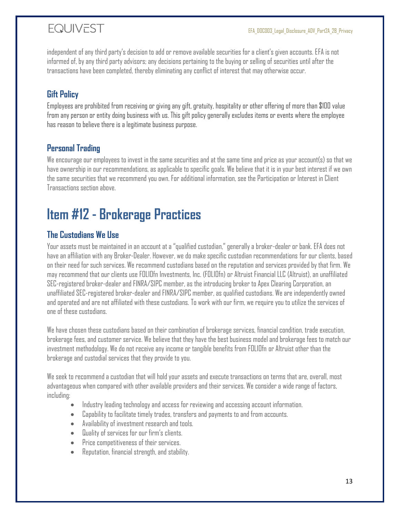independent of any third party's decision to add or remove available securities for a client's given accounts. EFA is not informed of, by any third party advisors; any decisions pertaining to the buying or selling of securities until after the transactions have been completed, thereby eliminating any conflict of interest that may otherwise occur.

## <span id="page-12-0"></span>**Gift Policy**

Employees are prohibited from receiving or giving any gift, gratuity, hospitality or other offering of more than \$100 value from any person or entity doing business with us. This gift policy generally excludes items or events where the employee has reason to believe there is a legitimate business purpose.

### <span id="page-12-1"></span>**Personal Trading**

We encourage our employees to invest in the same securities and at the same time and price as your account(s) so that we have ownership in our recommendations, as applicable to specific goals. We believe that it is in your best interest if we own the same securities that we recommend you own. For additional information, see the Participation or Interest in Client Transactions section above.

# <span id="page-12-2"></span>**Item #12 - Brokerage Practices**

### <span id="page-12-3"></span>**The Custodians We Use**

Your assets must be maintained in an account at a "qualified custodian," generally a broker-dealer or bank. EFA does not have an affiliation with any Broker‐Dealer. However, we do make specific custodian recommendations for our clients, based on their need for such services. We recommend custodians based on the reputation and services provided by that firm. We may recommend that our clients use FOLIOfn Investments, Inc. (FOLIOfn) or Altruist Financial LLC (Altruist), an unaffiliated SEC-registered broker-dealer and FINRA/SIPC member, as the introducing broker to Apex Clearing Corporation, an unaffiliated SEC-registered broker-dealer and FINRA/SIPC member, as qualified custodians. We are independently owned and operated and are not affiliated with these custodians. To work with our firm, we require you to utilize the services of one of these custodians.

We have chosen these custodians based on their combination of brokerage services, financial condition, trade execution, brokerage fees, and customer service. We believe that they have the best business model and brokerage fees to match our investment methodology. We do not receive any income or tangible benefits from FOLIOfn or Altruist other than the brokerage and custodial services that they provide to you.

We seek to recommend a custodian that will hold your assets and execute transactions on terms that are, overall, most advantageous when compared with other available providers and their services. We consider a wide range of factors, including:

- Industry leading technology and access for reviewing and accessing account information.
- Capability to facilitate timely trades, transfers and payments to and from accounts.
- Availability of investment research and tools.
- Quality of services for our firm's clients.
- Price competitiveness of their services.
- Reputation, financial strength, and stability.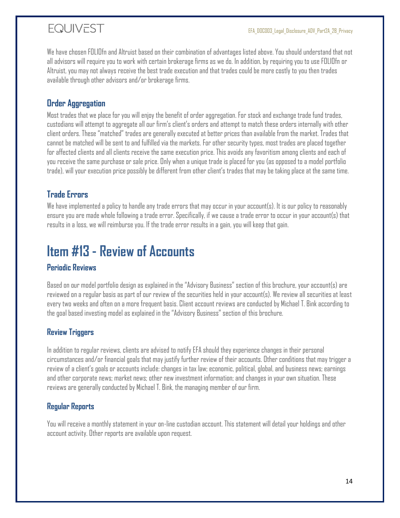We have chosen FOLIOfn and Altruist based on their combination of advantages listed above. You should understand that not all advisors will require you to work with certain brokerage firms as we do. In addition, by requiring you to use FOLIOfn or Altruist, you may not always receive the best trade execution and that trades could be more costly to you then trades available through other advisors and/or brokerage firms.

### <span id="page-13-0"></span>**Order Aggregation**

Most trades that we place for you will enjoy the benefit of order aggregation. For stock and exchange trade fund trades, custodians will attempt to aggregate all our firm's client's orders and attempt to match these orders internally with other client orders. These "matched" trades are generally executed at better prices than available from the market. Trades that cannot be matched will be sent to and fulfilled via the markets. For other security types, most trades are placed together for affected clients and all clients receive the same execution price. This avoids any favoritism among clients and each of you receive the same purchase or sale price. Only when a unique trade is placed for you (as opposed to a model portfolio trade), will your execution price possibly be different from other client's trades that may be taking place at the same time.

### <span id="page-13-1"></span>**Trade Errors**

We have implemented a policy to handle any trade errors that may occur in your account(s). It is our policy to reasonably ensure you are made whole following a trade error. Specifically, if we cause a trade error to occur in your account(s) that results in a loss, we will reimburse you. If the trade error results in a gain, you will keep that gain.

# <span id="page-13-2"></span>**Item #13 - Review of Accounts**

#### **Periodic Reviews**

Based on our model portfolio design as explained in the "Advisory Business" section of this brochure, your account(s) are reviewed on a regular basis as part of our review of the securities held in your account(s). We review all securities at least every two weeks and often on a more frequent basis. Client account reviews are conducted by Michael T. Bink according to the goal based investing model as explained in the "Advisory Business" section of this brochure.

#### **Review Triggers**

In addition to regular reviews, clients are advised to notify EFA should they experience changes in their personal circumstances and/or financial goals that may justify further review of their accounts. Other conditions that may trigger a review of a client's goals or accounts include: changes in tax law; economic, political, global, and business news; earnings and other corporate news; market news; other new investment information; and changes in your own situation. These reviews are generally conducted by Michael T. Bink, the managing member of our firm.

#### **Regular Reports**

You will receive a monthly statement in your on-line custodian account. This statement will detail your holdings and other account activity. Other reports are available upon request.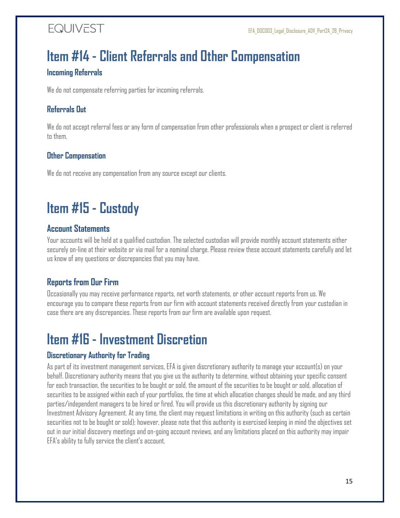# <span id="page-14-0"></span>**Item #14 - Client Referrals and Other Compensation**

#### **Incoming Referrals**

We do not compensate referring parties for incoming referrals.

#### **Referrals Out**

We do not accept referral fees or any form of compensation from other professionals when a prospect or client is referred to them.

#### **Other Compensation**

We do not receive any compensation from any source except our clients.

# <span id="page-14-1"></span>**Item #15 - Custody**

### <span id="page-14-2"></span>**Account Statements**

Your accounts will be held at a qualified custodian. The selected custodian will provide monthly account statements either securely on-line at their website or via mail for a nominal charge. Please review these account statements carefully and let us know of any questions or discrepancies that you may have.

### <span id="page-14-3"></span>**Reports from Our Firm**

Occasionally you may receive performance reports, net worth statements, or other account reports from us. We encourage you to compare these reports from our firm with account statements received directly from your custodian in case there are any discrepancies. These reports from our firm are available upon request.

# <span id="page-14-4"></span>**Item #16 - Investment Discretion**

### **Discretionary Authority for Trading**

As part of its investment management services, EFA is given discretionary authority to manage your account(s) on your behalf. Discretionary authority means that you give us the authority to determine, without obtaining your specific consent for each transaction, the securities to be bought or sold, the amount of the securities to be bought or sold, allocation of securities to be assigned within each of your portfolios, the time at which allocation changes should be made, and any third parties/independent managers to be hired or fired. You will provide us this discretionary authority by signing our Investment Advisory Agreement. At any time, the client may request limitations in writing on this authority (such as certain securities not to be bought or sold); however, please note that this authority is exercised keeping in mind the objectives set out in our initial discovery meetings and on-going account reviews, and any limitations placed on this authority may impair EFA's ability to fully service the client's account.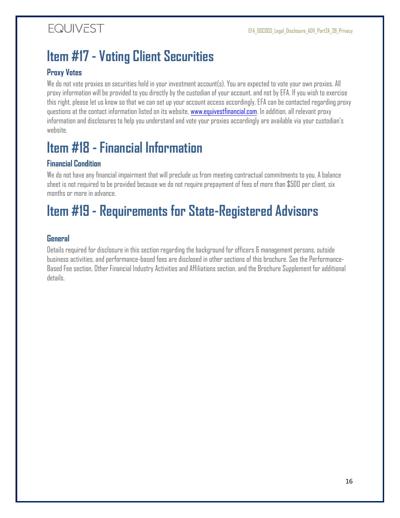# <span id="page-15-0"></span>**Item #17 - Voting Client Securities**

#### **Proxy Votes**

We do not vote proxies on securities held in your investment account(s). You are expected to vote your own proxies. All proxy information will be provided to you directly by the custodian of your account, and not by EFA. If you wish to exercise this right, please let us know so that we can set up your account access accordingly. EFA can be contacted regarding proxy questions at the contact information listed on its website, [www.equivestfinancial.com.](http://www.equivestfinancial.com/) In addition, all relevant proxy information and disclosures to help you understand and vote your proxies accordingly are available via your custodian's website.

# <span id="page-15-1"></span>**Item #18 - Financial Information**

#### **Financial Condition**

We do not have any financial impairment that will preclude us from meeting contractual commitments to you. A balance sheet is not required to be provided because we do not require prepayment of fees of more than \$500 per client, six months or more in advance.

# <span id="page-15-2"></span>**Item #19 - Requirements for State-Registered Advisors**

#### **General**

Details required for disclosure in this section regarding the background for officers & management persons, outside business activities, and performance-based fees are disclosed in other sections of this brochure. See the Performance-Based Fee section, Other Financial Industry Activities and Affiliations section, and the Brochure Supplement for additional details.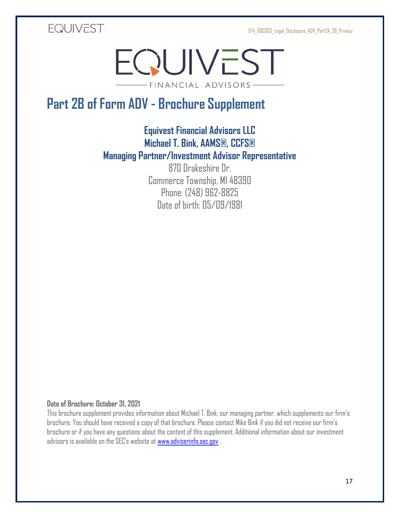EFA\_DOC003\_Legal\_Disclosure\_ADV\_Part2A\_2B\_Privacy

<span id="page-16-0"></span>**EQUIVEST** 

EQUIVEST -FINANCIAL ADVISORS-

# <span id="page-16-1"></span>**Part 2B of Form ADV - Brochure Supplement**

### **Equivest Financial Advisors LLC Michael T. Bink, AAMS®, CCFS® Managing Partner/Investment Advisor Representative**

870 Drakeshire Dr. Commerce Township, MI 48390 Phone: (248) 962-8825 Date of birth: 05/09/1981

#### **Date of Brochure: October 31, 2021**

This brochure supplement provides information about Michael T. Bink, our managing partner, which supplements our firm's brochure. You should have received a copy of that brochure. Please contact Mike Bink if you did not receive our firm's brochure or if you have any questions about the content of this supplement. Additional information about our investment advisors is available on the SEC's website at [www.adviserinfo.sec.gov](http://www.adviserinfo.sec.gov/) .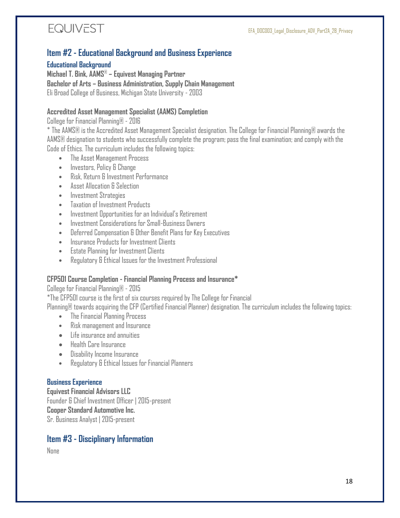

#### <span id="page-17-0"></span>**Item #2 - Educational Background and Business Experience**

**Educational Background**

**Michael T. Bink, AAMS**® **– Equivest Managing Partner Bachelor of Arts – Business Administration, Supply Chain Management** Eli Broad College of Business, Michigan State University - 2003

#### **Accredited Asset Management Specialist (AAMS) Completion**

College for Financial Planning® - 2016

\* The AAMS® is the Accredited Asset Management Specialist designation. The College for Financial Planning® awards the AAMS® designation to students who successfully complete the program; pass the final examination; and comply with the Code of Ethics. The curriculum includes the following topics:

- The Asset Management Process
- Investors, Policy & Change
- Risk, Return & Investment Performance
- Asset Allocation & Selection
- Investment Strategies
- Taxation of Investment Products
- Investment Opportunities for an Individual's Retirement
- Investment Considerations for Small-Business Owners
- Deferred Compensation & Other Benefit Plans for Key Executives
- Insurance Products for Investment Clients
- Estate Planning for Investment Clients
- Regulatory & Ethical Issues for the Investment Professional

#### **CFP501 Course Completion - Financial Planning Process and Insurance\***

College for Financial Planning® - 2015

\*The CFP501 course is the first of six courses required by The College for Financial

Planning® towards acquiring the CFP (Certified Financial Planner) designation. The curriculum includes the following topics:

- The Financial Planning Process
- Risk management and Insurance
- Life insurance and annuities
- Health Care Insurance
- Disability Income Insurance
- Regulatory & Ethical Issues for Financial Planners

#### **Business Experience**

**Equivest Financial Advisors LLC** Founder & Chief Investment Officer | 2015-present **Cooper Standard Automotive Inc.** Sr. Business Analyst | 2015-present

#### <span id="page-17-1"></span>**Item #3 - Disciplinary Information**

None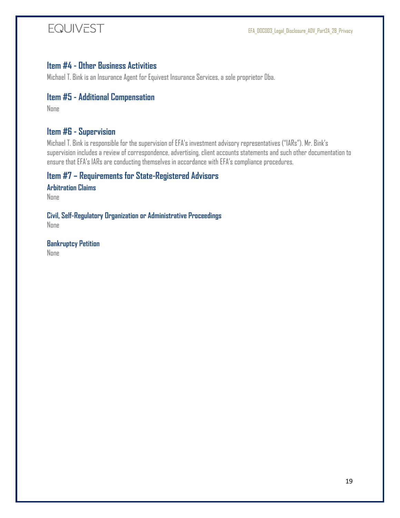### <span id="page-18-0"></span>**Item #4 - Other Business Activities**

Michael T. Bink is an Insurance Agent for Equivest Insurance Services, a sole proprietor Dba.

#### <span id="page-18-1"></span>**Item #5 - Additional Compensation**

None

#### <span id="page-18-2"></span>**Item #6 - Supervision**

Michael T. Bink is responsible for the supervision of EFA's investment advisory representatives ("IARs"). Mr. Bink's supervision includes a review of correspondence, advertising, client accounts statements and such other documentation to ensure that EFA's IARs are conducting themselves in accordance with EFA's compliance procedures.

#### <span id="page-18-3"></span>**Item #7 – Requirements for State-Registered Advisors**

**Arbitration Claims**

None

**Civil, Self-Regulatory Organization or Administrative Proceedings** None

**Bankruptcy Petition** None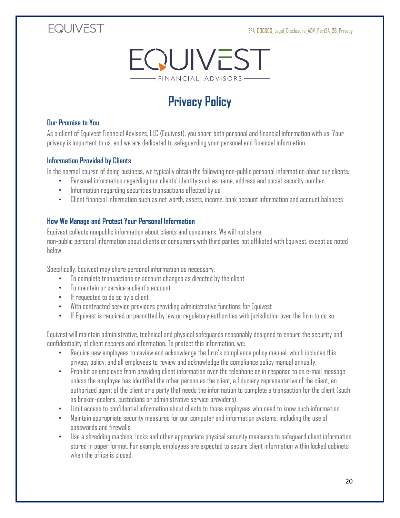#### EFA\_DOC003\_Legal\_Disclosure\_ADV\_Part2A\_2B\_Privacy

## **EQUIVEST**



# **Privacy Policy**

#### <span id="page-19-0"></span>**Our Promise to You**

As a client of Equivest Financial Advisors, LLC (Equivest), you share both personal and financial information with us. Your privacy is important to us, and we are dedicated to safeguarding your personal and financial information.

#### **Information Provided by Clients**

In the normal course of doing business, we typically obtain the following non-public personal information about our clients:

- Personal information regarding our clients' identity such as name, address and social security number
	- Information regarding securities transactions effected by us
- Client financial information such as net worth, assets, income, bank account information and account balances

#### **How We Manage and Protect Your Personal Information**

Equivest collects nonpublic information about clients and consumers. We will not share non-public personal information about clients or consumers with third parties not affiliated with Equivest, except as noted below.

Specifically, Equivest may share personal information as necessary:

- To complete transactions or account changes as directed by the client
- To maintain or service a client's account
- If requested to do so by a client
- With contracted service providers providing administrative functions for Equivest
- If Equivest is required or permitted by law or regulatory authorities with jurisdiction over the firm to do so

Equivest will maintain administrative, technical and physical safeguards reasonably designed to ensure the security and confidentiality of client records and information. To protect this information, we:

- Require new employees to review and acknowledge the firm's compliance policy manual, which includes this privacy policy, and all employees to review and acknowledge the compliance policy manual annually.
- Prohibit an employee from providing client information over the telephone or in response to an e-mail message unless the employee has identified the other person as the client, a fiduciary representative of the client, an authorized agent of the client or a party that needs the information to complete a transaction for the client (such as broker-dealers, custodians or administrative service providers).
- Limit access to confidential information about clients to those employees who need to know such information.
- Maintain appropriate security measures for our computer and information systems, including the use of passwords and firewalls.
- Use a shredding machine, locks and other appropriate physical security measures to safeguard client information stored in paper format. For example, employees are expected to secure client information within locked cabinets when the office is closed.